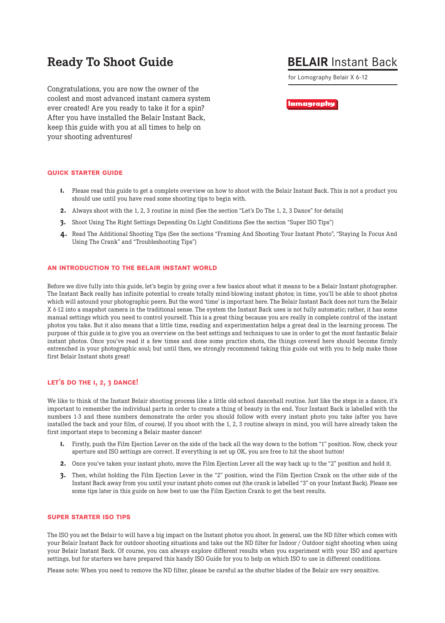# **Ready To Shoot Guide**

# **BELAIR** Instant Back

for Lomography Belair X 6-12

Congratulations, you are now the owner of the coolest and most advanced instant camera system ever created! Are you ready to take it for a spin? After you have installed the Belair Instant Back, keep this guide with you at all times to help on your shooting adventures!

lamagraphy

# **quick starter guide**

- **1.** Please read this guide to get a complete overview on how to shoot with the Belair Instant Back. This is not a product you should use until you have read some shooting tips to begin with.
- **2.** Always shoot with the 1, 2, 3 routine in mind (See the section "Let's Do The 1, 2, 3 Dance" for details)
- **3.** Shoot Using The Right Settings Depending On Light Conditions (See the section "Super ISO Tips")
- **4.** Read The Additional Shooting Tips (See the sections "Framing And Shooting Your Instant Photo", "Staying In Focus And Using The Crank" and "Troubleshooting Tips")

#### **an introduction to the belair instant world**

Before we dive fully into this guide, let's begin by going over a few basics about what it means to be a Belair Instant photographer. The Instant Back really has infinite potential to create totally mind-blowing instant photos; in time, you'll be able to shoot photos which will astound your photographic peers. But the word 'time' is important here. The Belair Instant Back does not turn the Belair X 6-12 into a snapshot camera in the traditional sense. The system the Instant Back uses is not fully automatic; rather, it has some manual settings which you need to control yourself. This is a great thing because you are really in complete control of the instant photos you take. But it also means that a little time, reading and experimentation helps a great deal in the learning process. The purpose of this guide is to give you an overview on the best settings and techniques to use in order to get the most fantastic Belair instant photos. Once you've read it a few times and done some practice shots, the things covered here should become firmly entrenched in your photographic soul; but until then, we strongly recommend taking this guide out with you to help make those first Belair Instant shots great!

# **let's do the 1, 2, 3 dance!**

We like to think of the Instant Belair shooting process like a little old-school dancehall routine. Just like the steps in a dance, it's important to remember the individual parts in order to create a thing of beauty in the end. Your Instant Back is labelled with the numbers 1-3 and these numbers demonstrate the order you should follow with every instant photo you take (after you have installed the back and your film, of course). If you shoot with the 1, 2, 3 routine always in mind, you will have already taken the first important steps to becoming a Belair master dancer!

- **1.** Firstly, push the Film Ejection Lever on the side of the back all the way down to the bottom "1" position. Now, check your aperture and ISO settings are correct. If everything is set up OK, you are free to hit the shoot button!
- **2.** Once you've taken your instant photo, move the Film Ejection Lever all the way back up to the "2" position and hold it.
- **3.** Then, whilst holding the Film Ejection Lever in the "2" position, wind the Film Ejection Crank on the other side of the Instant Back away from you until your instant photo comes out (the crank is labelled "3" on your Instant Back). Please see some tips later in this guide on how best to use the Film Ejection Crank to get the best results.

## **super starter iso tips**

The ISO you set the Belair to will have a big impact on the Instant photos you shoot. In general, use the ND filter which comes with your Belair Instant Back for outdoor shooting situations and take out the ND filter for Indoor / Outdoor night shooting when using your Belair Instant Back. Of course, you can always explore different results when you experiment with your ISO and aperture settings, but for starters we have prepared this handy ISO Guide for you to help on which ISO to use in different conditions.

Please note: When you need to remove the ND filter, please be careful as the shutter blades of the Belair are very sensitive.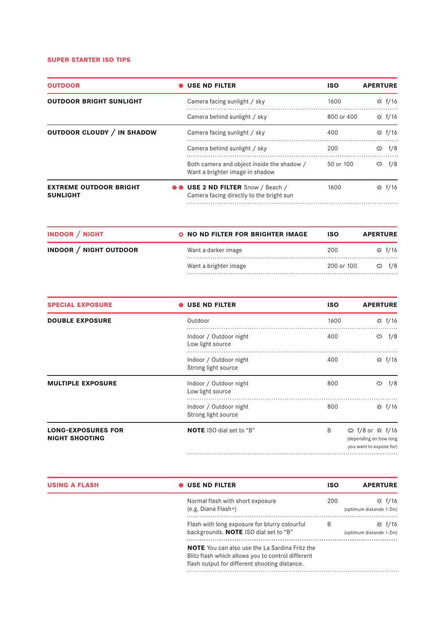## **super starter iso tips**

| <b>OUTDOOR</b>                                   | <b>USE ND FILTER</b>                                                                 | <b>ISO</b>    | <b>APERTURE</b> |
|--------------------------------------------------|--------------------------------------------------------------------------------------|---------------|-----------------|
| <b>OUTDOOR BRIGHT SUNLIGHT</b>                   | Camera facing sunlight / sky                                                         | 1600          | ☆ f/16          |
|                                                  | Camera behind sunlight / sky                                                         | 800 or 400    | ☆ f/16          |
| OUTDOOR CLOUDY / IN SHADOW                       | Camera facing sunlight / sky                                                         | 400           | ☆ f/16          |
|                                                  | Camera behind sunlight / sky                                                         | 200           | ≌<br>f/8        |
|                                                  | Both camera and object inside the shadow /<br>Want a brighter image in shadow        | $50$ or $100$ | f/8<br>≌        |
| <b>EXTREME OUTDOOR BRIGHT</b><br><b>SUNLIGHT</b> | <b>OO USE 2 ND FILTER</b> Snow / Beach /<br>Camera facing directly to the bright sun | 1600          | $\div$ f/16     |

| <b>INDOOR / NIGHT</b>         | O NO ND FILTER FOR BRIGHTER IMAGE | <b>ISO</b> | <b>APERTURE</b>    |
|-------------------------------|-----------------------------------|------------|--------------------|
| <b>INDOOR / NIGHT OUTDOOR</b> | Want a darker image               | 200        | ☆ f/16             |
|                               | Want a brighter image             | 200 or 100 | $\mathfrak{S}$ f/8 |

| <b>SPECIAL EXPOSURE</b>                            | <b>USE ND FILTER</b>                          | <b>ISO</b> | <b>APERTURE</b>                                                      |
|----------------------------------------------------|-----------------------------------------------|------------|----------------------------------------------------------------------|
| <b>DOUBLE EXPOSURE</b>                             | Outdoor                                       | 1600       | ☆ f/16                                                               |
|                                                    | Indoor / Outdoor night<br>Low light source    | 400        | f/8<br>$\triangle$                                                   |
|                                                    | Indoor / Outdoor night<br>Strong light source | 400        | $\div$ f/16                                                          |
| <b>MULTIPLE EXPOSURE</b>                           | Indoor / Outdoor night<br>Low light source    | 800        | $\triangleq$<br>f/8                                                  |
|                                                    | Indoor / Outdoor night<br>Strong light source | 800        | $\uparrow$ f/16                                                      |
| <b>LONG-EXPOSURES FOR</b><br><b>NIGHT SHOOTING</b> | <b>NOTE</b> ISO dial set to "B"               | B          | ⇔ f/8 or ☆ f/16<br>(depending on how long<br>you want to expose for) |
|                                                    |                                               |            |                                                                      |

| <b>USING A FLASH</b> | $\bullet$ USE ND FILTER                                                                                                                                     | <b>ISO</b> | <b>APERTURE</b>                            |
|----------------------|-------------------------------------------------------------------------------------------------------------------------------------------------------------|------------|--------------------------------------------|
|                      | Normal flash with short exposure<br>$(e.g. Diana Flash+)$                                                                                                   | 200        | $\div$ f/16<br>(optimum distande 1-2m)     |
|                      | Flash with long exposure for blurry colourful<br>backgrounds. <b>NOTE</b> ISO dial set to "B"                                                               | B          | $\uparrow$ f/16<br>(optimum distande 1-2m) |
|                      | <b>NOTE</b> You can also use the La Sardina Fritz the<br>Blitz flash which allows you to control different<br>flash output for different shooting distance. |            |                                            |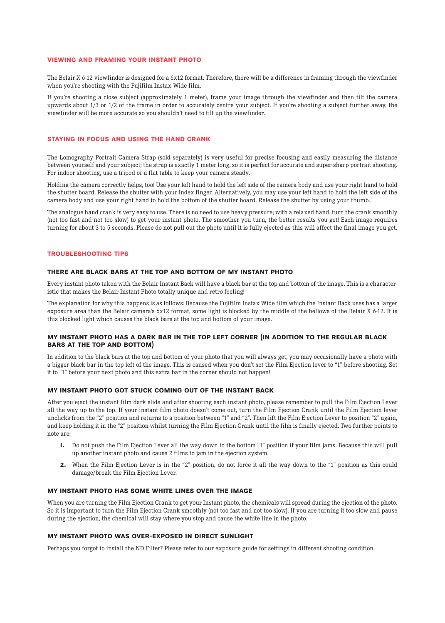#### **viewing and framing your instant photo**

The Belair X 6-12 viewfinder is designed for a 6x12 format. Therefore, there will be a difference in framing through the viewfinder when you're shooting with the Fujifilm Instax Wide film.

If you're shooting a close subject (approximately 1 meter), frame your image through the viewfinder and then tilt the camera upwards about 1/3 or 1/2 of the frame in order to accurately centre your subject. If you're shooting a subject further away, the viewfinder will be more accurate so you shouldn't need to tilt up the viewfinder.

#### **staying in focus and using the hand crank**

The Lomography Portrait Camera Strap (sold separately) is very useful for precise focusing and easily measuring the distance between yourself and your subject; the strap is exactly 1 meter long, so it is perfect for accurate and super-sharp portrait shooting. For indoor shooting, use a tripod or a flat table to keep your camera steady.

Holding the camera correctly helps, too! Use your left hand to hold the left side of the camera body and use your right hand to hold the shutter board. Release the shutter with your index finger. Alternatively, you may use your left hand to hold the left side of the camera body and use your right hand to hold the bottom of the shutter board. Release the shutter by using your thumb.

The analogue hand crank is very easy to use. There is no need to use heavy pressure; with a relaxed hand, turn the crank smoothly (not too fast and not too slow) to get your instant photo. The smoother you turn, the better results you get! Each image requires turning for about 3 to 5 seconds. Please do not pull out the photo until it is fully ejected as this will affect the final image you get.

#### **troubleshooting tips**

#### **there are black bars at the top and bottom of my instant photo**

Every instant photo taken with the Belair Instant Back will have a black bar at the top and bottom of the image. This is a characteristic that makes the Belair Instant Photo totally unique and retro feeling!

The explanation for why this happens is as follows: Because the Fujifilm Instax Wide film which the Instant Back uses has a larger exposure area than the Belair camera's 6x12 format, some light is blocked by the middle of the bellows of the Belair X 6-12. It is this blocked light which causes the black bars at the top and bottom of your image.

## **my instant photo has a dark bar in the top left corner (in addition to the regular black bars at the top and bottom)**

In addition to the black bars at the top and bottom of your photo that you will always get, you may occasionally have a photo with a bigger black bar in the top left of the image. This is caused when you don't set the Film Ejection lever to "1" before shooting. Set it to "1" before your next photo and this extra bar in the corner should not happen!

# **my instant photo got stuck coming out of the instant back**

After you eject the instant film dark slide and after shooting each instant photo, please remember to pull the Film Ejection Lever all the way up to the top. If your instant film photo doesn't come out, turn the Film Ejection Crank until the Film Ejection lever unclicks from the "2" position and returns to a position between "1" and "2". Then lift the Film Ejection Lever to position "2" again, and keep holding it in the "2" position whilst turning the Film Ejection Crank until the film is finally ejected. Two further points to note are:

- **1.** Do not push the Film Ejection Lever all the way down to the bottom "1" position if your film jams. Because this will pull up another instant photo and cause 2 films to jam in the ejection system.
- **2.** When the Film Ejection Lever is in the "2" position, do not force it all the way down to the "1" position as this could damage/break the Film Ejection Lever.

## **my instant photo has some white lines over the image**

When you are turning the Film Ejection Crank to get your Instant photo, the chemicals will spread during the ejection of the photo. So it is important to turn the Film Ejection Crank smoothly (not too fast and not too slow). If you are turning it too slow and pause during the ejection, the chemical will stay where you stop and cause the white line in the photo.

#### **my instant photo was over-exposed in direct sunlight**

Perhaps you forgot to install the ND Filter? Please refer to our exposure guide for settings in different shooting condition.